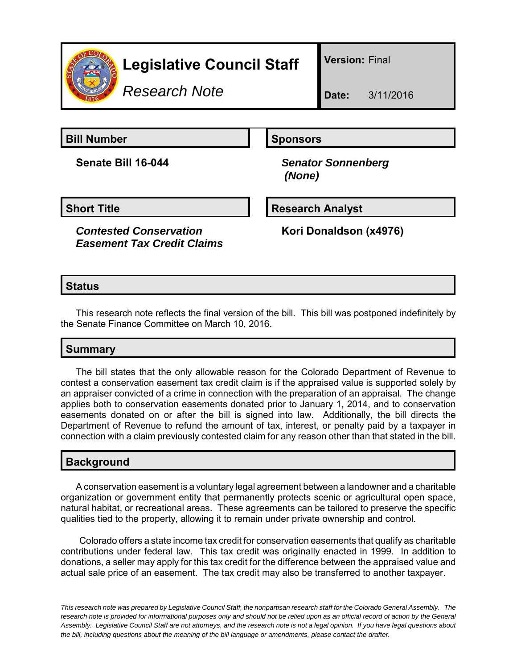

# **Legislative Council Staff**

*Research Note*

**Version:** Final

**Bill Number Sponsors** 

**Senate Bill 16-044** *Senator Sonnenberg (None)*

#### **Short Title Community Community Community Research Analyst**

*Contested Conservation Easement Tax Credit Claims*

**Kori Donaldson (x4976)**

## **Status**

This research note reflects the final version of the bill. This bill was postponed indefinitely by the Senate Finance Committee on March 10, 2016.

## **Summary**

The bill states that the only allowable reason for the Colorado Department of Revenue to contest a conservation easement tax credit claim is if the appraised value is supported solely by an appraiser convicted of a crime in connection with the preparation of an appraisal. The change applies both to conservation easements donated prior to January 1, 2014, and to conservation easements donated on or after the bill is signed into law. Additionally, the bill directs the Department of Revenue to refund the amount of tax, interest, or penalty paid by a taxpayer in connection with a claim previously contested claim for any reason other than that stated in the bill.

## **Background**

A conservation easement is a voluntary legal agreement between a landowner and a charitable organization or government entity that permanently protects scenic or agricultural open space, natural habitat, or recreational areas. These agreements can be tailored to preserve the specific qualities tied to the property, allowing it to remain under private ownership and control.

 Colorado offers a state income tax credit for conservation easements that qualify as charitable contributions under federal law. This tax credit was originally enacted in 1999. In addition to donations, a seller may apply for this tax credit for the difference between the appraised value and actual sale price of an easement. The tax credit may also be transferred to another taxpayer.

*This research note was prepared by Legislative Council Staff, the nonpartisan research staff for the Colorado General Assembly. The research note is provided for informational purposes only and should not be relied upon as an official record of action by the General Assembly. Legislative Council Staff are not attorneys, and the research note is not a legal opinion. If you have legal questions about the bill, including questions about the meaning of the bill language or amendments, please contact the drafter.*